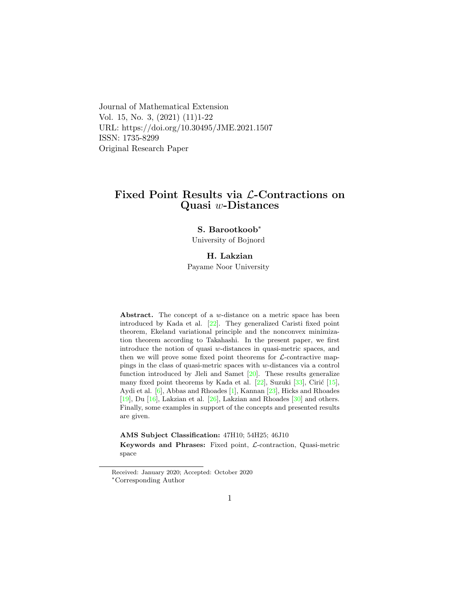Journal of Mathematical Extension Vol. 15, No. 3, (2021) (11)1-22 URL: https://doi.org/10.30495/JME.2021.1507 ISSN: 1735-8299 Original Research Paper

# Fixed Point Results via L-Contractions on Quasi w-Distances

#### S. Barootkoob[∗](#page-0-0)

University of Bojnord

### H. Lakzian

Payame Noor University

Abstract. The concept of a w-distance on a metric space has been introduced by Kada et al. [\[22\]](#page-19-0). They generalized Caristi fixed point theorem, Ekeland variational principle and the nonconvex minimization theorem according to Takahashi. In the present paper, we first introduce the notion of quasi w-distances in quasi-metric spaces, and then we will prove some fixed point theorems for  $\mathcal{L}$ -contractive mappings in the class of quasi-metric spaces with w-distances via a control function introduced by Jleli and Samet [\[20\]](#page-19-1). These results generalize many fixed point theorems by Kada et al.  $[22]$ , Suzuki  $[33]$ , Cirić  $[15]$ , Aydi et al. [\[6\]](#page-18-0), Abbas and Rhoades [\[1\]](#page-17-0), Kannan [\[23\]](#page-19-3), Hicks and Rhoades  $[19]$ , Du  $[16]$ , Lakzian et al.  $[26]$ , Lakzian and Rhoades  $[30]$  and others. Finally, some examples in support of the concepts and presented results are given.

AMS Subject Classification: 47H10; 54H25; 46J10 Keywords and Phrases: Fixed point, L-contraction, Quasi-metric space

<span id="page-0-0"></span>Received: January 2020; Accepted: October 2020 <sup>∗</sup>Corresponding Author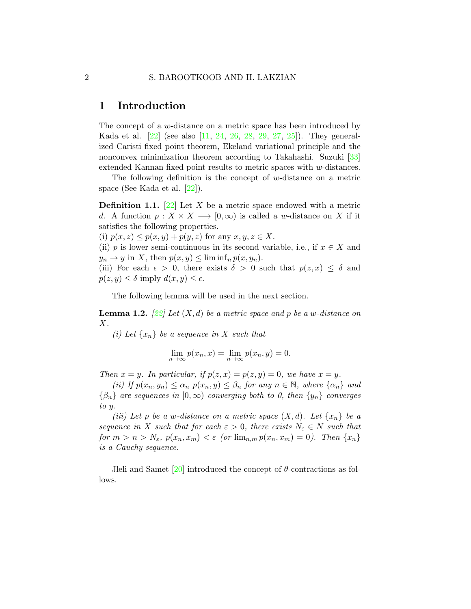# 1 Introduction

The concept of a w-distance on a metric space has been introduced by Kada et al. [\[22\]](#page-19-0) (see also [\[11,](#page-18-1) [24,](#page-19-6) [26,](#page-20-1) [28,](#page-20-3) [29,](#page-20-4) [27,](#page-20-5) [25\]](#page-20-6)). They generalized Caristi fixed point theorem, Ekeland variational principle and the nonconvex minimization theorem according to Takahashi. Suzuki [\[33\]](#page-20-0) extended Kannan fixed point results to metric spaces with w-distances.

The following definition is the concept of  $w$ -distance on a metric space (See Kada et al. [\[22\]](#page-19-0)).

**Definition 1.1.** [\[22\]](#page-19-0) Let X be a metric space endowed with a metric d. A function  $p: X \times X \longrightarrow [0, \infty)$  is called a w-distance on X if it satisfies the following properties.

(i)  $p(x, z) \leq p(x, y) + p(y, z)$  for any  $x, y, z \in X$ .

(ii) p is lower semi-continuous in its second variable, i.e., if  $x \in X$  and  $y_n \to y$  in X, then  $p(x, y) \leq \liminf_{n \to \infty} p(x, y_n)$ .

(iii) For each  $\epsilon > 0$ , there exists  $\delta > 0$  such that  $p(z, x) \leq \delta$  and  $p(z, y) \leq \delta$  imply  $d(x, y) \leq \epsilon$ .

The following lemma will be used in the next section.

<span id="page-1-0"></span>**Lemma 1.2.**  $[22]$  Let  $(X, d)$  be a metric space and p be a w-distance on X.

(i) Let  $\{x_n\}$  be a sequence in X such that

$$
\lim_{n \to \infty} p(x_n, x) = \lim_{n \to \infty} p(x_n, y) = 0.
$$

Then  $x = y$ . In particular, if  $p(z, x) = p(z, y) = 0$ , we have  $x = y$ .

(ii) If  $p(x_n, y_n) \leq \alpha_n$   $p(x_n, y) \leq \beta_n$  for any  $n \in \mathbb{N}$ , where  $\{\alpha_n\}$  and  ${\beta_n}$  are sequences in  $[0,\infty)$  converging both to 0, then  $\{y_n\}$  converges to y.

(iii) Let p be a w-distance on a metric space  $(X, d)$ . Let  $\{x_n\}$  be a sequence in X such that for each  $\varepsilon > 0$ , there exists  $N_{\varepsilon} \in N$  such that for  $m > n > N_{\varepsilon}$ ,  $p(x_n, x_m) < \varepsilon$  (or  $\lim_{n,m} p(x_n, x_m) = 0$ ). Then  $\{x_n\}$ is a Cauchy sequence.

Jleli and Samet  $[20]$  introduced the concept of  $\theta$ -contractions as follows.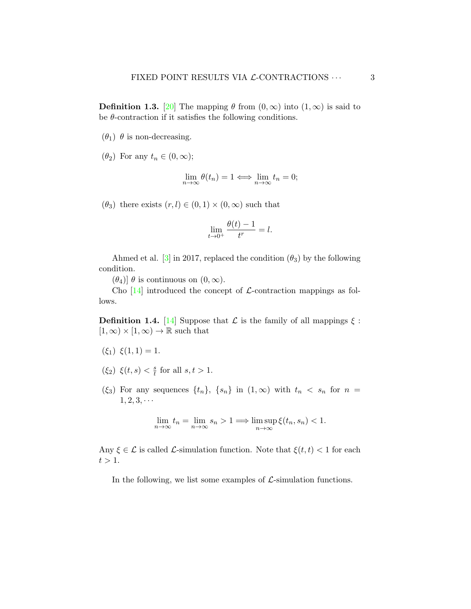**Definition 1.3.** [\[20\]](#page-19-1) The mapping  $\theta$  from  $(0, \infty)$  into  $(1, \infty)$  is said to be  $\theta$ -contraction if it satisfies the following conditions.

- $(\theta_1)$   $\theta$  is non-decreasing.
- $(\theta_2)$  For any  $t_n \in (0,\infty);$

$$
\lim_{n \to \infty} \theta(t_n) = 1 \Longleftrightarrow \lim_{n \to \infty} t_n = 0;
$$

 $(\theta_3)$  there exists  $(r, l) \in (0, 1) \times (0, \infty)$  such that

$$
\lim_{t \to 0^+} \frac{\theta(t) - 1}{t^r} = l.
$$

Ahmed et al. [\[3\]](#page-18-2) in 2017, replaced the condition  $(\theta_3)$  by the following condition.

 $(\theta_4)$ ]  $\theta$  is continuous on  $(0, \infty)$ .

Cho  $[14]$  introduced the concept of *L*-contraction mappings as follows.

**Definition 1.4.** [\[14\]](#page-19-7) Suppose that  $\mathcal{L}$  is the family of all mappings  $\xi$ :  $[1, \infty) \times [1, \infty) \rightarrow \mathbb{R}$  such that

- $(\xi_1) \xi(1,1) = 1.$
- $(\xi_2) \xi(t,s) < \frac{s}{t}$  $\frac{s}{t}$  for all  $s, t > 1$ .
- (ξ3) For any sequences  $\{t_n\}$ ,  $\{s_n\}$  in  $(1,\infty)$  with  $t_n < s_n$  for  $n =$  $1, 2, 3, \cdots$

$$
\lim_{n \to \infty} t_n = \lim_{n \to \infty} s_n > 1 \Longrightarrow \limsup_{n \to \infty} \xi(t_n, s_n) < 1.
$$

Any  $\xi \in \mathcal{L}$  is called  $\mathcal{L}$ -simulation function. Note that  $\xi(t, t) < 1$  for each  $t > 1$ .

In the following, we list some examples of  $\mathcal{L}$ -simulation functions.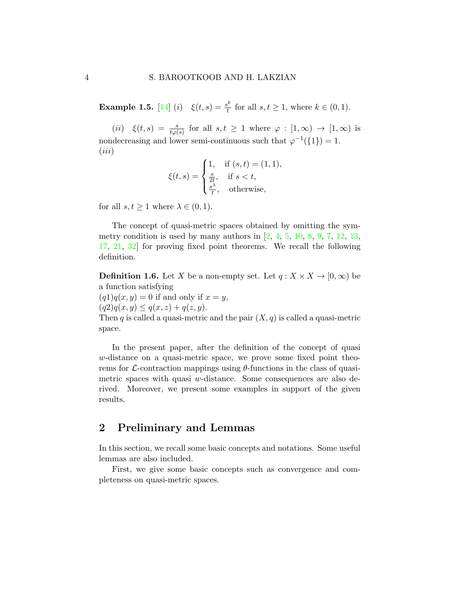<span id="page-3-0"></span>**Example 1.5.** [\[14\]](#page-19-7) (*i*)  $\xi(t,s) = \frac{s^k}{t}$  $t_t^{\infty}$  for all  $s, t \geq 1$ , where  $k \in (0, 1)$ .

(ii)  $\xi(t,s) = \frac{s}{t\varphi(s)}$  for all  $s,t \geq 1$  where  $\varphi : [1,\infty) \to [1,\infty)$  is nondecreasing and lower semi-continuous such that  $\varphi^{-1}(\{1\}) = 1$ .  $(iii)$ 

$$
\xi(t,s) = \begin{cases} 1, & \text{if } (s,t) = (1,1), \\ \frac{s}{2t}, & \text{if } s < t, \\ \frac{s^{\lambda}}{t}, & \text{otherwise,} \end{cases}
$$

for all  $s, t \geq 1$  where  $\lambda \in (0, 1)$ .

The concept of quasi-metric spaces obtained by omitting the symmetry condition is used by many authors in  $[2, 4, 5, 10, 8, 9, 7, 12, 13,$  $[2, 4, 5, 10, 8, 9, 7, 12, 13,$  $[2, 4, 5, 10, 8, 9, 7, 12, 13,$  $[2, 4, 5, 10, 8, 9, 7, 12, 13,$  $[2, 4, 5, 10, 8, 9, 7, 12, 13,$  $[2, 4, 5, 10, 8, 9, 7, 12, 13,$  $[2, 4, 5, 10, 8, 9, 7, 12, 13,$  $[2, 4, 5, 10, 8, 9, 7, 12, 13,$  $[2, 4, 5, 10, 8, 9, 7, 12, 13,$  $[2, 4, 5, 10, 8, 9, 7, 12, 13,$  $[2, 4, 5, 10, 8, 9, 7, 12, 13,$  $[2, 4, 5, 10, 8, 9, 7, 12, 13,$  $[2, 4, 5, 10, 8, 9, 7, 12, 13,$  $[2, 4, 5, 10, 8, 9, 7, 12, 13,$  $[2, 4, 5, 10, 8, 9, 7, 12, 13,$  $[2, 4, 5, 10, 8, 9, 7, 12, 13,$  $[2, 4, 5, 10, 8, 9, 7, 12, 13,$ [17,](#page-19-9) [21,](#page-19-10) [32\]](#page-20-7) for proving fixed point theorems. We recall the following definition.

**Definition 1.6.** Let X be a non-empty set. Let  $q: X \times X \to [0, \infty)$  be a function satisfying

 $(q1)q(x, y) = 0$  if and only if  $x = y$ ,  $(q2)q(x,y) \leq q(x,z) + q(z,y).$ Then q is called a quasi-metric and the pair  $(X, q)$  is called a quasi-metric space.

In the present paper, after the definition of the concept of quasi w-distance on a quasi-metric space, we prove some fixed point theorems for  $\mathcal{L}$ -contraction mappings using  $\theta$ -functions in the class of quasimetric spaces with quasi w-distance. Some consequences are also derived. Moreover, we present some examples in support of the given results.

# 2 Preliminary and Lemmas

In this section, we recall some basic concepts and notations. Some useful lemmas are also included.

First, we give some basic concepts such as convergence and completeness on quasi-metric spaces.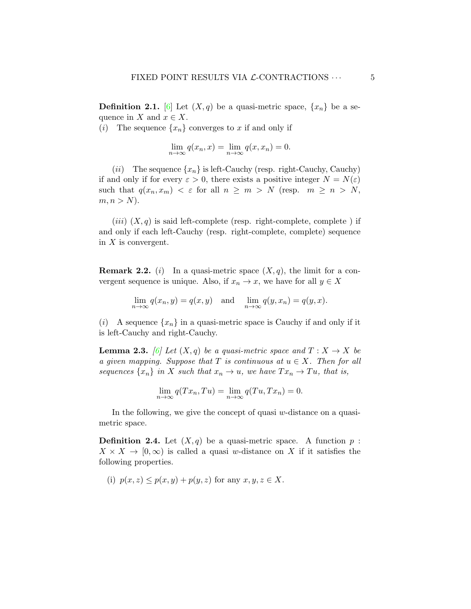**Definition 2.1.** [\[6\]](#page-18-0) Let  $(X, q)$  be a quasi-metric space,  $\{x_n\}$  be a sequence in X and  $x \in X$ .

(i) The sequence  $\{x_n\}$  converges to x if and only if

$$
\lim_{n \to \infty} q(x_n, x) = \lim_{n \to \infty} q(x, x_n) = 0.
$$

(*ii*) The sequence  $\{x_n\}$  is left-Cauchy (resp. right-Cauchy, Cauchy) if and only if for every  $\varepsilon > 0$ , there exists a positive integer  $N = N(\varepsilon)$ such that  $q(x_n, x_m) < \varepsilon$  for all  $n \geq m > N$  (resp.  $m \geq n > N$ ,  $m, n > N$ ).

 $(iii)$   $(X, q)$  is said left-complete (resp. right-complete, complete) if and only if each left-Cauchy (resp. right-complete, complete) sequence in  $X$  is convergent.

**Remark 2.2.** (i) In a quasi-metric space  $(X, q)$ , the limit for a convergent sequence is unique. Also, if  $x_n \to x$ , we have for all  $y \in X$ 

$$
\lim_{n \to \infty} q(x_n, y) = q(x, y) \text{ and } \lim_{n \to \infty} q(y, x_n) = q(y, x).
$$

(i) A sequence  $\{x_n\}$  in a quasi-metric space is Cauchy if and only if it is left-Cauchy and right-Cauchy.

**Lemma 2.3.** [\[6\]](#page-18-0) Let  $(X, q)$  be a quasi-metric space and  $T : X \to X$  be a given mapping. Suppose that T is continuous at  $u \in X$ . Then for all sequences  $\{x_n\}$  in X such that  $x_n \to u$ , we have  $Tx_n \to Tu$ , that is,

$$
\lim_{n \to \infty} q(Tx_n, Tu) = \lim_{n \to \infty} q(Tu, Tx_n) = 0.
$$

In the following, we give the concept of quasi  $w$ -distance on a quasimetric space.

**Definition 2.4.** Let  $(X, q)$  be a quasi-metric space. A function  $p$ :  $X \times X \to [0, \infty)$  is called a quasi w-distance on X if it satisfies the following properties.

(i)  $p(x, z) \leq p(x, y) + p(y, z)$  for any  $x, y, z \in X$ .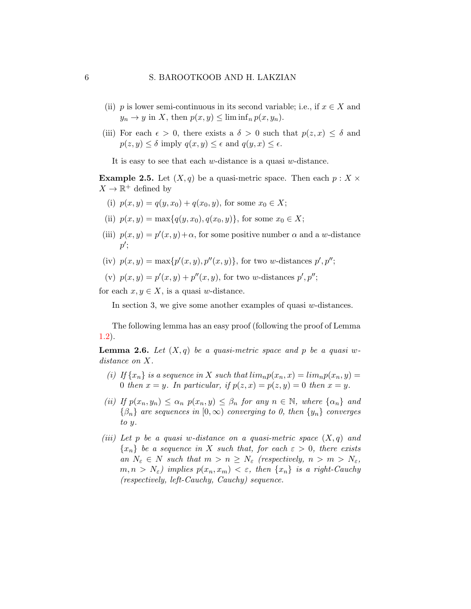- (ii) p is lower semi-continuous in its second variable; i.e., if  $x \in X$  and  $y_n \to y$  in X, then  $p(x, y) \leq \liminf_{n} p(x, y_n)$ .
- (iii) For each  $\epsilon > 0$ , there exists a  $\delta > 0$  such that  $p(z, x) \leq \delta$  and  $p(z, y) \leq \delta$  imply  $q(x, y) \leq \epsilon$  and  $q(y, x) \leq \epsilon$ .

It is easy to see that each  $w$ -distance is a quasi  $w$ -distance.

**Example 2.5.** Let  $(X, q)$  be a quasi-metric space. Then each  $p : X \times Y$  $X \to \mathbb{R}^+$  defined by

- (i)  $p(x, y) = q(y, x_0) + q(x_0, y)$ , for some  $x_0 \in X$ ;
- (ii)  $p(x, y) = \max\{q(y, x_0), q(x_0, y)\}\text{, for some } x_0 \in X;$
- (iii)  $p(x, y) = p'(x, y) + \alpha$ , for some positive number  $\alpha$  and a w-distance  $p^{\prime}$
- (iv)  $p(x, y) = \max\{p'(x, y), p''(x, y)\}\text{, for two }w\text{-distances }p', p''$ ;
- (v)  $p(x, y) = p'(x, y) + p''(x, y)$ , for two w-distances  $p', p''$ ;

for each  $x, y \in X$ , is a quasi w-distance.

In section 3, we give some another examples of quasi w-distances.

The following lemma has an easy proof (following the proof of Lemma [1.2\)](#page-1-0).

<span id="page-5-0"></span>**Lemma 2.6.** Let  $(X, q)$  be a quasi-metric space and p be a quasi wdistance on X.

- (i) If  $\{x_n\}$  is a sequence in X such that  $\lim_{n} p(x_n, x) = \lim_{n} p(x_n, y) =$ 0 then  $x = y$ . In particular, if  $p(z, x) = p(z, y) = 0$  then  $x = y$ .
- (ii) If  $p(x_n, y_n) \leq \alpha_n p(x_n, y) \leq \beta_n$  for any  $n \in \mathbb{N}$ , where  $\{\alpha_n\}$  and  $\{\beta_n\}$  are sequences in  $[0,\infty)$  converging to 0, then  $\{y_n\}$  converges to y.
- (iii) Let p be a quasi w-distance on a quasi-metric space  $(X, q)$  and  ${x_n}$  be a sequence in X such that, for each  $\varepsilon > 0$ , there exists an  $N_{\varepsilon} \in N$  such that  $m > n \geq N_{\varepsilon}$  (respectively,  $n > m > N_{\varepsilon}$ ,  $m, n > N_{\varepsilon}$ ) implies  $p(x_n, x_m) < \varepsilon$ , then  $\{x_n\}$  is a right-Cauchy (respectively, left-Cauchy, Cauchy) sequence.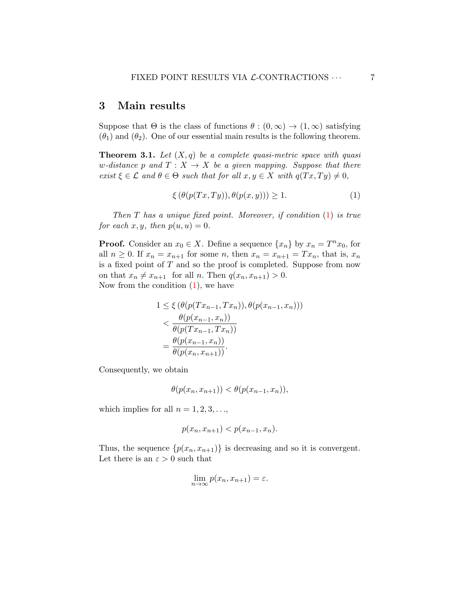# 3 Main results

Suppose that  $\Theta$  is the class of functions  $\theta : (0, \infty) \to (1, \infty)$  satisfying  $(\theta_1)$  and  $(\theta_2)$ . One of our essential main results is the following theorem.

<span id="page-6-1"></span>**Theorem 3.1.** Let  $(X, q)$  be a complete quasi-metric space with quasi w-distance p and  $T : X \to X$  be a given mapping. Suppose that there exist  $\xi \in \mathcal{L}$  and  $\theta \in \Theta$  such that for all  $x, y \in X$  with  $q(Tx, Ty) \neq 0$ ,

<span id="page-6-0"></span>
$$
\xi(\theta(p(Tx, Ty)), \theta(p(x, y))) \ge 1.
$$
\n<sup>(1)</sup>

Then  $T$  has a unique fixed point. Moreover, if condition  $(1)$  is true for each  $x, y$ , then  $p(u, u) = 0$ .

**Proof.** Consider an  $x_0 \in X$ . Define a sequence  $\{x_n\}$  by  $x_n = T^n x_0$ , for all  $n \geq 0$ . If  $x_n = x_{n+1}$  for some n, then  $x_n = x_{n+1} = Tx_n$ , that is,  $x_n$ is a fixed point of T and so the proof is completed. Suppose from now on that  $x_n \neq x_{n+1}$  for all n. Then  $q(x_n, x_{n+1}) > 0$ . Now from the condition  $(1)$ , we have

$$
1 \leq \xi \left(\theta(p(Tx_{n-1}, Tx_n)), \theta(p(x_{n-1}, x_n))\right)
$$
  

$$
< \frac{\theta(p(x_{n-1}, x_n))}{\theta(p(Tx_{n-1}, Tx_n))}
$$
  

$$
= \frac{\theta(p(x_{n-1}, x_n))}{\theta(p(x_n, x_{n+1}))}.
$$

Consequently, we obtain

$$
\theta(p(x_n, x_{n+1})) < \theta(p(x_{n-1}, x_n)),
$$

which implies for all  $n = 1, 2, 3, \ldots$ ,

$$
p(x_n, x_{n+1}) < p(x_{n-1}, x_n).
$$

Thus, the sequence  $\{p(x_n, x_{n+1})\}$  is decreasing and so it is convergent. Let there is an  $\varepsilon > 0$  such that

$$
\lim_{n \to \infty} p(x_n, x_{n+1}) = \varepsilon.
$$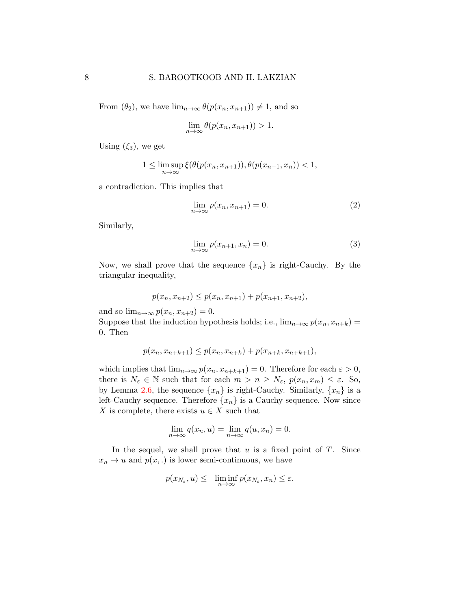From  $(\theta_2)$ , we have  $\lim_{n\to\infty} \theta(p(x_n, x_{n+1})) \neq 1$ , and so

$$
\lim_{n \to \infty} \theta(p(x_n, x_{n+1})) > 1.
$$

Using  $(\xi_3)$ , we get

$$
1 \leq \limsup_{n \to \infty} \xi(\theta(p(x_n, x_{n+1})), \theta(p(x_{n-1}, x_n)) < 1,
$$

a contradiction. This implies that

$$
\lim_{n \to \infty} p(x_n, x_{n+1}) = 0. \tag{2}
$$

Similarly,

<span id="page-7-0"></span>
$$
\lim_{n \to \infty} p(x_{n+1}, x_n) = 0. \tag{3}
$$

Now, we shall prove that the sequence  $\{x_n\}$  is right-Cauchy. By the triangular inequality,

$$
p(x_n, x_{n+2}) \le p(x_n, x_{n+1}) + p(x_{n+1}, x_{n+2}),
$$

and so  $\lim_{n\to\infty} p(x_n, x_{n+2}) = 0.$ 

Suppose that the induction hypothesis holds; i.e.,  $\lim_{n\to\infty} p(x_n, x_{n+k}) =$ 0. Then

$$
p(x_n, x_{n+k+1}) \le p(x_n, x_{n+k}) + p(x_{n+k}, x_{n+k+1}),
$$

which implies that  $\lim_{n\to\infty} p(x_n, x_{n+k+1}) = 0$ . Therefore for each  $\varepsilon > 0$ , there is  $N_{\varepsilon} \in \mathbb{N}$  such that for each  $m > n \ge N_{\varepsilon}, p(x_n, x_m) \le \varepsilon$ . So, by Lemma [2.6,](#page-5-0) the sequence  $\{x_n\}$  is right-Cauchy. Similarly,  $\{x_n\}$  is a left-Cauchy sequence. Therefore  $\{x_n\}$  is a Cauchy sequence. Now since X is complete, there exists  $u \in X$  such that

$$
\lim_{n \to \infty} q(x_n, u) = \lim_{n \to \infty} q(u, x_n) = 0.
$$

In the sequel, we shall prove that  $u$  is a fixed point of  $T$ . Since  $x_n \to u$  and  $p(x,.)$  is lower semi-continuous, we have

$$
p(x_{N_{\varepsilon}}, u) \leq \liminf_{n \to \infty} p(x_{N_{\varepsilon}}, x_n) \leq \varepsilon.
$$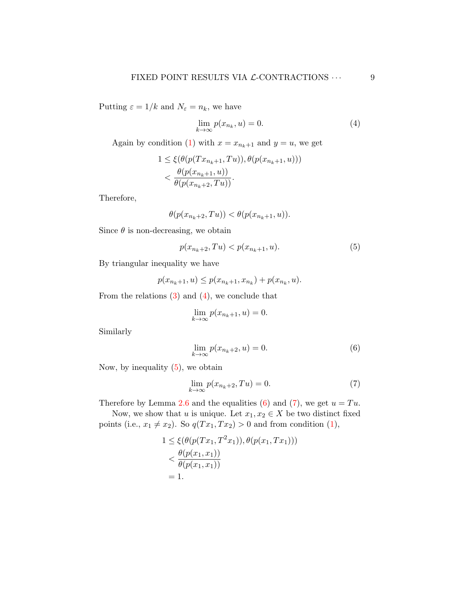Putting  $\varepsilon = 1/k$  and  $N_{\varepsilon} = n_k$ , we have

<span id="page-8-0"></span>
$$
\lim_{k \to \infty} p(x_{n_k}, u) = 0. \tag{4}
$$

Again by condition [\(1\)](#page-6-0) with  $x = x_{n_k+1}$  and  $y = u$ , we get

$$
1 \leq \xi(\theta(p(Tx_{n_k+1}, Tu)), \theta(p(x_{n_k+1}, u))) \n< \frac{\theta(p(x_{n_k+1}, u))}{\theta(p(x_{n_k+2}, Tu))}.
$$

Therefore,

$$
\theta(p(x_{n_k+2}, Tu)) < \theta(p(x_{n_k+1}, u)).
$$

Since  $\theta$  is non-decreasing, we obtain

<span id="page-8-1"></span>
$$
p(x_{n_k+2}, Tu) < p(x_{n_k+1}, u). \tag{5}
$$

By triangular inequality we have

$$
p(x_{n_k+1}, u) \le p(x_{n_k+1}, x_{n_k}) + p(x_{n_k}, u).
$$

From the relations  $(3)$  and  $(4)$ , we conclude that

$$
\lim_{k \to \infty} p(x_{n_k+1}, u) = 0.
$$

Similarly

<span id="page-8-3"></span><span id="page-8-2"></span>
$$
\lim_{k \to \infty} p(x_{n_k+2}, u) = 0. \tag{6}
$$

Now, by inequality  $(5)$ , we obtain

$$
\lim_{k \to \infty} p(x_{n_k+2}, Tu) = 0. \tag{7}
$$

Therefore by Lemma [2.6](#page-5-0) and the equalities [\(6\)](#page-8-2) and [\(7\)](#page-8-3), we get  $u = Tu$ .

Now, we show that u is unique. Let  $x_1, x_2 \in X$  be two distinct fixed points (i.e.,  $x_1 \neq x_2$ ). So  $q(T x_1, T x_2) > 0$  and from condition [\(1\)](#page-6-0),

$$
1 \le \xi(\theta(p(Tx_1, T^2x_1)), \theta(p(x_1, Tx_1))) \n< \frac{\theta(p(x_1, x_1))}{\theta(p(x_1, x_1))} \n= 1.
$$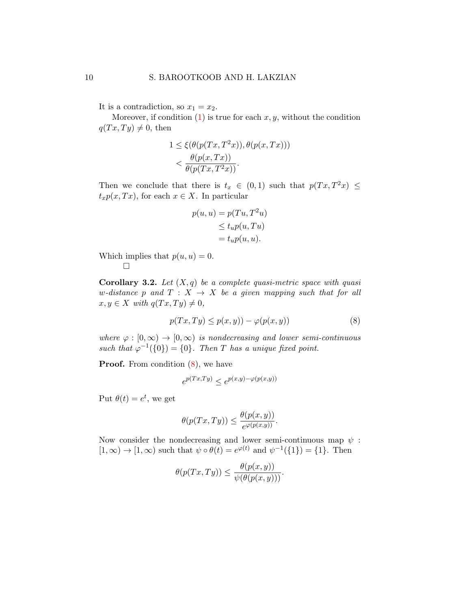It is a contradiction, so  $x_1 = x_2$ .

Moreover, if condition  $(1)$  is true for each  $x, y$ , without the condition  $q(Tx, Ty) \neq 0$ , then

$$
1 \le \xi(\theta(p(Tx, T^2x)), \theta(p(x, Tx)))
$$
  

$$
< \frac{\theta(p(x, Tx))}{\theta(p(Tx, T^2x))}.
$$

Then we conclude that there is  $t_x \in (0,1)$  such that  $p(Tx, T^2x) \leq$  $t_x p(x,T x)$ , for each  $x \in X$ . In particular

$$
p(u, u) = p(Tu, T2u)
$$
  
\n
$$
\leq tu p(u, Tu)
$$
  
\n
$$
= tu p(u, u).
$$

Which implies that  $p(u, u) = 0$ .  $\Box$ 

<span id="page-9-1"></span>**Corollary 3.2.** Let  $(X, q)$  be a complete quasi-metric space with quasi w-distance p and  $T : X \rightarrow X$  be a given mapping such that for all  $x, y \in X$  with  $q(Tx, Ty) \neq 0$ ,

$$
p(Tx, Ty) \le p(x, y)) - \varphi(p(x, y))\tag{8}
$$

where  $\varphi : [0, \infty) \to [0, \infty)$  is nondecreasing and lower semi-continuous such that  $\varphi^{-1}(\{0\}) = \{0\}$ . Then T has a unique fixed point.

**Proof.** From condition  $(8)$ , we have

<span id="page-9-0"></span>
$$
e^{p(Tx,Ty)} \le e^{p(x,y) - \varphi(p(x,y))}
$$

Put  $\theta(t) = e^t$ , we get

$$
\theta(p(Tx,Ty)) \leq \frac{\theta(p(x,y))}{e^{\varphi(p(x,y))}}.
$$

Now consider the nondecreasing and lower semi-continuous map  $\psi$ :  $[1,\infty) \to [1,\infty)$  such that  $\psi \circ \theta(t) = e^{\varphi(t)}$  and  $\psi^{-1}(\{1\}) = \{1\}$ . Then

$$
\theta(p(Tx,Ty)) \leq \frac{\theta(p(x,y))}{\psi(\theta(p(x,y)))}.
$$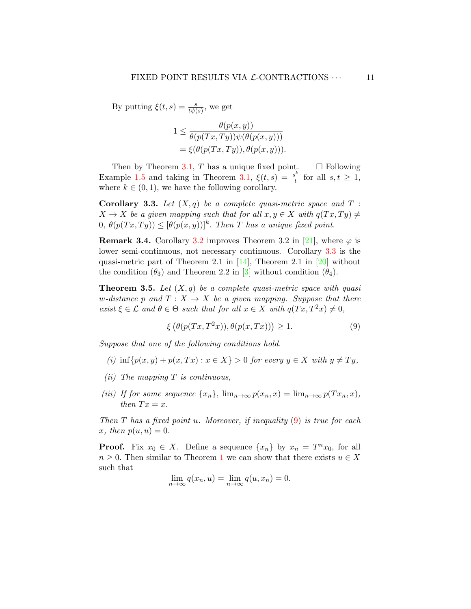By putting  $\xi(t,s) = \frac{s}{t\psi(s)}$ , we get

$$
1 \leq \frac{\theta(p(x,y))}{\theta(p(Tx,Ty))\psi(\theta(p(x,y)))}
$$
  
=  $\xi(\theta(p(Tx,Ty)), \theta(p(x,y))).$ 

Then by Theorem [3.1,](#page-6-1) T has a unique fixed point.  $\Box$  Following Example [1.5](#page-3-0) and taking in Theorem [3.1,](#page-6-1)  $\xi(t,s) = \frac{s^k}{t}$  $\frac{f}{t}$  for all  $s, t \geq 1$ , where  $k \in (0, 1)$ , we have the following corollary.

<span id="page-10-0"></span>**Corollary 3.3.** Let  $(X, q)$  be a complete quasi-metric space and  $T$ :  $X \to X$  be a given mapping such that for all  $x, y \in X$  with  $q(Tx, Ty) \neq$  $(0, \theta(p(Tx, Ty)) \leq [\theta(p(x, y))]^{k}$ . Then T has a unique fixed point.

**Remark 3.4.** Corollary [3.2](#page-9-1) improves Theorem 3.2 in [\[21\]](#page-19-10), where  $\varphi$  is lower semi-continuous, not necessary continuous. Corollary [3.3](#page-10-0) is the quasi-metric part of Theorem 2.1 in [\[14\]](#page-19-7), Theorem 2.1 in [\[20\]](#page-19-1) without the condition  $(\theta_3)$  and Theorem 2.2 in [\[3\]](#page-18-2) without condition  $(\theta_4)$ .

<span id="page-10-2"></span>**Theorem 3.5.** Let  $(X, q)$  be a complete quasi-metric space with quasi w-distance p and  $T : X \to X$  be a given mapping. Suppose that there exist  $\xi \in \mathcal{L}$  and  $\theta \in \Theta$  such that for all  $x \in X$  with  $q(Tx, T^2x) \neq 0$ ,

<span id="page-10-1"></span>
$$
\xi\left(\theta(p(Tx, T^2x)), \theta(p(x, Tx))\right) \ge 1. \tag{9}
$$

Suppose that one of the following conditions hold.

- (i)  $\inf \{p(x, y) + p(x, Tx) : x \in X\} > 0$  for every  $y \in X$  with  $y \neq Ty$ ,
- (*ii*) The mapping  $T$  is continuous,
- (iii) If for some sequence  $\{x_n\}$ ,  $\lim_{n\to\infty} p(x_n, x) = \lim_{n\to\infty} p(Tx_n, x)$ , then  $Tx = x$ .

Then  $T$  has a fixed point  $u$ . Moreover, if inequality  $(9)$  is true for each x, then  $p(u, u) = 0$ .

**Proof.** Fix  $x_0 \in X$ . Define a sequence  $\{x_n\}$  by  $x_n = T^n x_0$ , for all  $n \geq 0$ . Then similar to Theorem [1](#page-6-0) we can show that there exists  $u \in X$ such that

$$
\lim_{n \to \infty} q(x_n, u) = \lim_{n \to \infty} q(u, x_n) = 0.
$$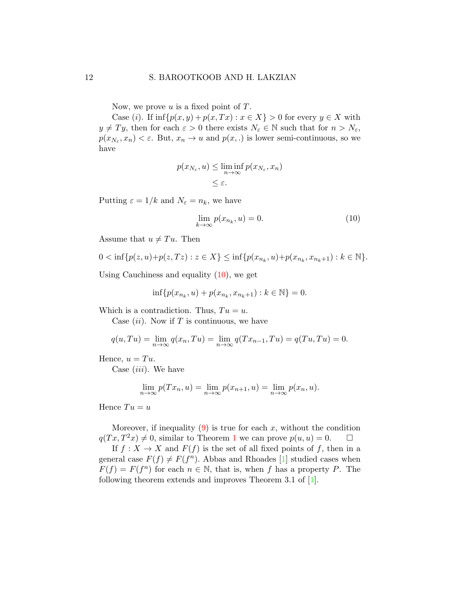Now, we prove u is a fixed point of  $T$ .

Case (i). If  $\inf \{p(x, y) + p(x, Tx) : x \in X\} > 0$  for every  $y \in X$  with  $y \neq Ty$ , then for each  $\varepsilon > 0$  there exists  $N_{\varepsilon} \in \mathbb{N}$  such that for  $n > N_{\varepsilon}$ ,  $p(x_{N_{\varepsilon}}, x_n) < \varepsilon$ . But,  $x_n \to u$  and  $p(x,.)$  is lower semi-continuous, so we have

$$
p(x_{N_{\varepsilon}}, u) \le \liminf_{n \to \infty} p(x_{N_{\varepsilon}}, x_n)
$$
  

$$
\le \varepsilon.
$$

Putting  $\varepsilon = 1/k$  and  $N_{\varepsilon} = n_k$ , we have

<span id="page-11-0"></span>
$$
\lim_{k \to \infty} p(x_{n_k}, u) = 0. \tag{10}
$$

Assume that  $u \neq Tu$ . Then

$$
0 < \inf\{p(z, u) + p(z, Tz) : z \in X\} \le \inf\{p(x_{n_k}, u) + p(x_{n_k}, x_{n_k+1}) : k \in \mathbb{N}\}.
$$

Using Cauchiness and equality  $(10)$ , we get

$$
\inf\{p(x_{n_k}, u) + p(x_{n_k}, x_{n_k+1}) : k \in \mathbb{N}\} = 0.
$$

Which is a contradiction. Thus,  $Tu = u$ .

Case  $(ii)$ . Now if T is continuous, we have

$$
q(u,Tu) = \lim_{n \to \infty} q(x_n, Tu) = \lim_{n \to \infty} q(Tx_{n-1}, Tu) = q(Tu, Tu) = 0.
$$

Hence,  $u = Tu$ .

Case  $(iii)$ . We have

$$
\lim_{n \to \infty} p(Tx_n, u) = \lim_{n \to \infty} p(x_{n+1}, u) = \lim_{n \to \infty} p(x_n, u).
$$

Hence  $Tu = u$ 

Moreover, if inequality  $(9)$  is true for each x, without the condition  $q(T x, T^2 x) \neq 0$ , similar to Theorem [1](#page-6-0) we can prove  $p(u, u) = 0$ .  $\Box$ 

If  $f: X \to X$  and  $F(f)$  is the set of all fixed points of f, then in a general case  $F(f) \neq F(f^n)$ . Abbas and Rhoades [\[1\]](#page-17-0) studied cases when  $F(f) = F(f^n)$  for each  $n \in \mathbb{N}$ , that is, when f has a property P. The following theorem extends and improves Theorem 3.1 of [\[1\]](#page-17-0).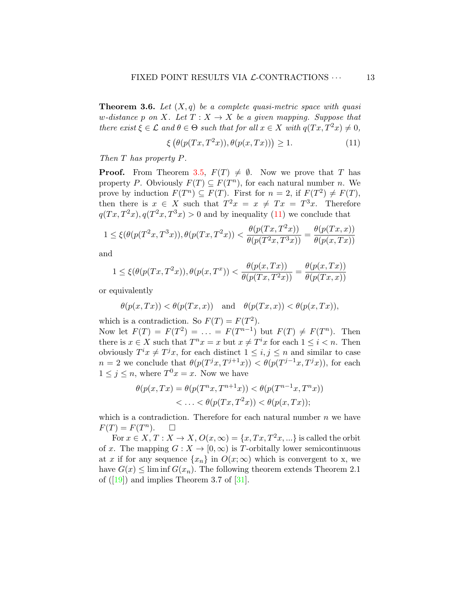**Theorem 3.6.** Let  $(X, q)$  be a complete quasi-metric space with quasi w-distance p on X. Let  $T : X \to X$  be a given mapping. Suppose that there exist  $\xi \in \mathcal{L}$  and  $\theta \in \Theta$  such that for all  $x \in X$  with  $q(Tx, T^2x) \neq 0$ ,

<span id="page-12-0"></span>
$$
\xi\left(\theta(p(Tx, T^2x)), \theta(p(x, Tx))\right) \ge 1. \tag{11}
$$

Then T has property P.

**Proof.** From Theorem [3.5,](#page-10-2)  $F(T) \neq \emptyset$ . Now we prove that T has property P. Obviously  $F(T) \subseteq F(T^n)$ , for each natural number n. We prove by induction  $F(T^n) \subseteq F(T)$ . First for  $n = 2$ , if  $F(T^2) \neq F(T)$ , then there is  $x \in X$  such that  $T^2x = x \neq Tx = T^3x$ . Therefore  $q(Tx, T^2x), q(T^2x, T^3x) > 0$  and by inequality [\(11\)](#page-12-0) we conclude that

$$
1\leq \xi(\theta(p(T^2x,T^3x)),\theta(p(Tx,T^2x))<\frac{\theta(p(Tx,T^2x))}{\theta(p(T^2x,T^3x))}=\frac{\theta(p(Tx,x))}{\theta(p(x,Tx))}
$$

and

$$
1 \leq \xi(\theta(p(Tx, T^2x)), \theta(p(x, T^x)) < \frac{\theta(p(x, Tx))}{\theta(p(Tx, T^2x))} = \frac{\theta(p(x, Tx))}{\theta(p(Tx, x))}
$$

or equivalently

$$
\theta(p(x,Tx)) < \theta(p(Tx,x)) \quad \text{and} \quad \theta(p(Tx,x)) < \theta(p(x,Tx)),
$$

which is a contradiction. So  $F(T) = F(T^2)$ .

Now let  $F(T) = F(T^2) = ... = F(T^{n-1})$  but  $F(T) \neq F(T^n)$ . Then there is  $x \in X$  such that  $T^n x = x$  but  $x \neq T^i x$  for each  $1 \leq i < n$ . Then obviously  $T^i x \neq T^j x$ , for each distinct  $1 \leq i, j \leq n$  and similar to case  $n = 2$  we conclude that  $\theta(p(T^jx, T^{j+1}x)) < \theta(p(T^{j-1}x, T^jx))$ , for each  $1 \leq j \leq n$ , where  $T^0x = x$ . Now we have

$$
\theta(p(x,Tx) = \theta(p(T^n x, T^{n+1} x)) < \theta(p(T^{n-1} x, T^n x)) < \ldots < \theta(p(Tx, T^2 x)) < \theta(p(x, Tx));
$$

which is a contradiction. Therefore for each natural number  $n$  we have  $F(T) = F(T^n)$  $\Box$ 

For  $x \in X$ ,  $T: X \to X$ ,  $O(x, \infty) = \{x, Tx, T^2x, ...\}$  is called the orbit of x. The mapping  $G: X \to [0, \infty)$  is T-orbitally lower semicontinuous at x if for any sequence  $\{x_n\}$  in  $O(x;\infty)$  which is convergent to x, we have  $G(x) \leq \liminf G(x_n)$ . The following theorem extends Theorem 2.1 of  $([19])$  $([19])$  $([19])$  and implies Theorem 3.7 of  $[31]$ .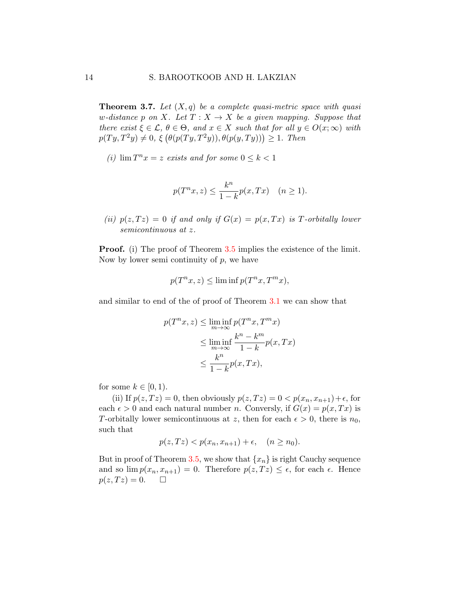**Theorem 3.7.** Let  $(X, q)$  be a complete quasi-metric space with quasi w-distance p on X. Let  $T: X \to X$  be a given mapping. Suppose that there exist  $\xi \in \mathcal{L}, \theta \in \Theta$ , and  $x \in X$  such that for all  $y \in O(x;\infty)$  with  $p(Ty, T^2y) \neq 0, \xi(\theta(p(Ty, T^2y)), \theta(p(y, Ty))) \geq 1.$  Then

(i)  $\lim T^n x = z$  exists and for some  $0 \leq k < 1$ 

$$
p(T^n x, z) \le \frac{k^n}{1 - k} p(x, Tx) \quad (n \ge 1).
$$

(ii)  $p(z,Tz) = 0$  if and only if  $G(x) = p(x,Tx)$  is T-orbitally lower semicontinuous at z.

**Proof.** (i) The proof of Theorem [3.5](#page-10-2) implies the existence of the limit. Now by lower semi continuity of  $p$ , we have

$$
p(T^n x, z) \le \liminf p(T^n x, T^m x),
$$

and similar to end of the of proof of Theorem [3.1](#page-6-1) we can show that

$$
p(T^n x, z) \leq \liminf_{m \to \infty} p(T^n x, T^m x)
$$
  
\n
$$
\leq \liminf_{m \to \infty} \frac{k^n - k^m}{1 - k} p(x, Tx)
$$
  
\n
$$
\leq \frac{k^n}{1 - k} p(x, Tx),
$$

for some  $k \in [0, 1)$ .

(ii) If  $p(z,Tz) = 0$ , then obviously  $p(z,Tz) = 0 < p(x_n,x_{n+1})+\epsilon$ , for each  $\epsilon > 0$  and each natural number n. Conversly, if  $G(x) = p(x, Tx)$  is T-orbitally lower semicontinuous at z, then for each  $\epsilon > 0$ , there is  $n_0$ , such that

$$
p(z,Tz) < p(x_n, x_{n+1}) + \epsilon, \quad (n \ge n_0).
$$

But in proof of Theorem [3.5,](#page-10-2) we show that  $\{x_n\}$  is right Cauchy sequence and so  $\lim p(x_n, x_{n+1}) = 0$ . Therefore  $p(z, Tz) \leq \epsilon$ , for each  $\epsilon$ . Hence  $p(z, T z) = 0.$   $\Box$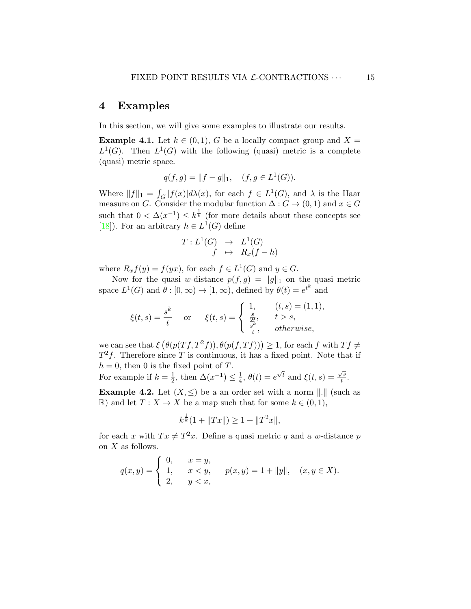## 4 Examples

In this section, we will give some examples to illustrate our results.

**Example 4.1.** Let  $k \in (0,1)$ , G be a locally compact group and  $X =$  $L^1(G)$ . Then  $L^1(G)$  with the following (quasi) metric is a complete (quasi) metric space.

$$
q(f,g) = ||f - g||_1, \quad (f, g \in L^1(G)).
$$

Where  $||f||_1 = \int_G |f(x)| d\lambda(x)$ , for each  $f \in L^1(G)$ , and  $\lambda$  is the Haar measure on G. Consider the modular function  $\Delta: G \to (0,1)$  and  $x \in G$ such that  $0 < \Delta(x^{-1}) \leq k^{\frac{1}{k}}$  (for more details about these concepts see [\[18\]](#page-19-11)). For an arbitrary  $h \in L^1(G)$  define

$$
T: L^1(G) \rightarrow L^1(G)
$$
  

$$
f \rightarrow R_x(f-h)
$$

where  $R_x f(y) = f(yx)$ , for each  $f \in L^1(G)$  and  $y \in G$ .

Now for the quasi w-distance  $p(f, g) = ||g||_1$  on the quasi metric space  $L^1(G)$  and  $\theta : [0, \infty) \to [1, \infty)$ , defined by  $\theta(t) = e^{t^k}$  and

$$
\xi(t,s) = \frac{s^k}{t} \quad \text{or} \quad \xi(t,s) = \begin{cases} 1, & (t,s) = (1,1), \\ \frac{s}{2t}, & t > s, \\ \frac{s^k}{t}, & \text{otherwise,} \end{cases}
$$

we can see that  $\xi(\theta(p(Tf,T^2f)),\theta(p(f,Tf)))\geq 1$ , for each f with  $Tf\neq 0$  $T^2f$ . Therefore since T is continuous, it has a fixed point. Note that if  $h = 0$ , then 0 is the fixed point of T.

For example if  $k=\frac{1}{2}$  $\frac{1}{2}$ , then  $\Delta(x^{-1}) \leq \frac{1}{4}$  $\frac{1}{4}$ ,  $\theta(t) = e$  $\sqrt{t}$  and  $\xi(t,s) = \frac{\sqrt{s}}{t}$  $\frac{d}{t}$ .

**Example 4.2.** Let  $(X, \leq)$  be a an order set with a norm  $\| \cdot \|$  (such as R) and let  $T: X \to X$  be a map such that for some  $k \in (0,1)$ ,

$$
k^{\frac{1}{k}}(1 + \|Tx\|) \ge 1 + \|T^2x\|,
$$

for each x with  $Tx \neq T^2x$ . Define a quasi metric q and a w-distance p on  $X$  as follows.

$$
q(x,y) = \begin{cases} 0, & x = y, \\ 1, & x < y, \\ 2, & y < x, \end{cases} \quad p(x,y) = 1 + ||y||, \quad (x, y \in X).
$$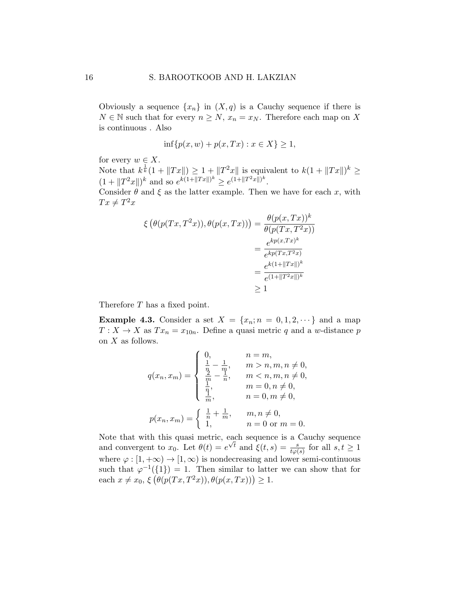Obviously a sequence  $\{x_n\}$  in  $(X, q)$  is a Cauchy sequence if there is  $N \in \mathbb{N}$  such that for every  $n \geq N$ ,  $x_n = x_N$ . Therefore each map on X is continuous . Also

$$
\inf\{p(x,w) + p(x,Tx) : x \in X\} \ge 1,
$$

for every  $w \in X$ .

Note that  $k^{\frac{1}{k}}(1+\|Tx\|) \geq 1 + \|T^2x\|$  is equivalent to  $k(1+\|Tx\|)^k \geq$  $(1 + ||T^2x||)^k$  and so  $e^{k(1+||Tx||)^k} \ge e^{(1+||T^2x||)^k}$ .

Consider  $\theta$  and  $\xi$  as the latter example. Then we have for each x, with  $Tx \neq T^2x$ 

$$
\xi \left(\theta(p(Tx, T^2x)), \theta(p(x, Tx))\right) = \frac{\theta(p(x, Tx))^k}{\theta(p(Tx, T^2x))}
$$

$$
= \frac{e^{kp(x, Tx)^k}}{e^{kp(Tx, T^2x)}}
$$

$$
= \frac{e^{k(1 + ||Tx||)^k}}{e^{(1 + ||T^2x||)^k}}
$$

$$
\geq 1
$$

Therefore T has a fixed point.

**Example 4.3.** Consider a set  $X = \{x_n; n = 0, 1, 2, \dots\}$  and a map  $T: X \to X$  as  $Tx_n = x_{10n}$ . Define a quasi metric q and a w-distance p on  $X$  as follows.

$$
q(x_n, x_m) = \begin{cases} 0, & n = m, \\ \frac{1}{2} - \frac{1}{m}, & m > n, m, n \neq 0, \\ \frac{2}{m} - \frac{1}{n}, & m < n, m, n \neq 0, \\ \frac{1}{n}, & m = 0, n \neq 0, \\ \frac{1}{m}, & n = 0, m \neq 0, \end{cases}
$$

$$
p(x_n, x_m) = \begin{cases} \frac{1}{n} + \frac{1}{m}, & m, n \neq 0, \\ 1, & n = 0 \text{ or } m = 0. \end{cases}
$$

Note that with this quasi metric, each sequence is a Cauchy sequence and convergent to  $x_0$ . Let  $\theta(t) = e$ For and  $\xi(t,s) = \frac{s}{t\varphi(s)}$  for all  $s, t \geq 1$ where  $\varphi : [1, +\infty) \to [1, \infty)$  is nondecreasing and lower semi-continuous such that  $\varphi^{-1}(\{1\}) = 1$ . Then similar to latter we can show that for each  $x \neq x_0, \xi \left( \theta(p(Tx, T^2x)), \theta(p(x, Tx)) \right) \geq 1.$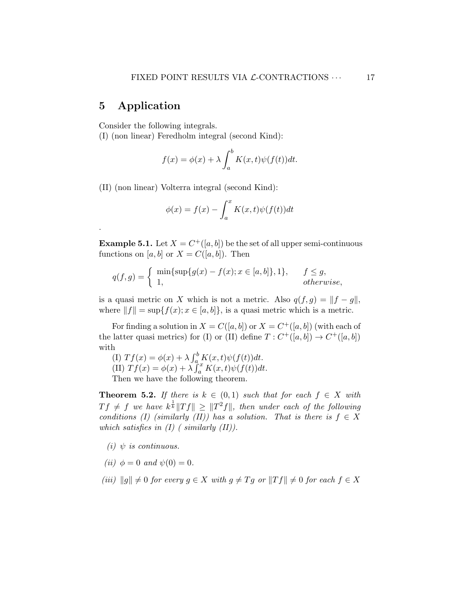## 5 Application

.

Consider the following integrals.

(I) (non linear) Feredholm integral (second Kind):

$$
f(x) = \phi(x) + \lambda \int_a^b K(x, t) \psi(f(t)) dt.
$$

(II) (non linear) Volterra integral (second Kind):

$$
\phi(x) = f(x) - \int_a^x K(x, t)\psi(f(t))dt
$$

**Example 5.1.** Let  $X = C^+([a, b])$  be the set of all upper semi-continuous functions on [a, b] or  $X = C([a, b])$ . Then

$$
q(f,g) = \begin{cases} \min\{\sup\{g(x) - f(x); x \in [a,b]\}, 1\}, & f \le g, \\ 1, & otherwise, \end{cases}
$$

is a quasi metric on X which is not a metric. Also  $q(f,g) = ||f - g||$ , where  $||f|| = \sup\{f(x); x \in [a, b]\}\$ , is a quasi metric which is a metric.

For finding a solution in  $X = C([a, b])$  or  $X = C^+([a, b])$  (with each of the latter quasi metrics) for (I) or (II) define  $T: C^+([a, b]) \to C^+([a, b])$ with

(I)  $Tf(x) = \phi(x) + \lambda \int_a^b K(x, t) \psi(f(t)) dt$ . (II)  $Tf(x) = \phi(x) + \lambda \int_a^x K(x,t) \psi(f(t)) dt$ . Then we have the following theorem.

**Theorem 5.2.** If there is  $k \in (0,1)$  such that for each  $f \in X$  with  $Tf \neq f$  we have  $k^{\frac{1}{k}} \|Tf\| \geq \|T^2f\|$ , then under each of the following conditions (I) (similarly (II)) has a solution. That is there is  $f \in X$ which satisfies in  $(I)$  (similarly  $(II)$ ).

- (i)  $\psi$  is continuous.
- (*ii*)  $\phi = 0$  and  $\psi(0) = 0$ .
- (iii)  $||g|| \neq 0$  for every  $g \in X$  with  $g \neq Tg$  or  $||Tf|| \neq 0$  for each  $f \in X$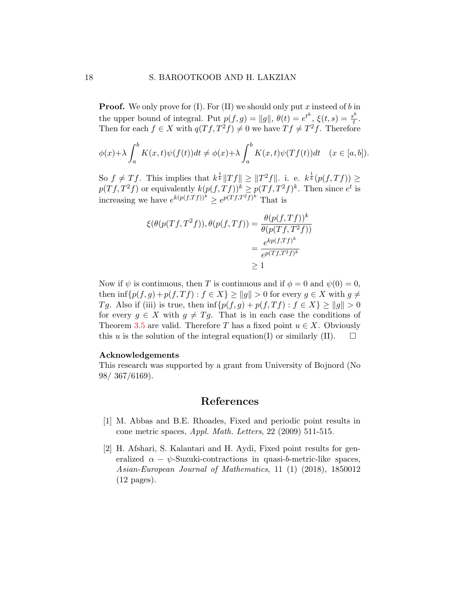**Proof.** We only prove for (I). For (II) we should only put x insteed of b in the upper bound of integral. Put  $p(f,g) = ||g||, \theta(t) = e^{t^k}, \xi(t,s) = \frac{s^k}{t^k}$  $\frac{3^n}{t}$ . Then for each  $f \in X$  with  $q(Tf, T^2f) \neq 0$  we have  $Tf \neq T^2f$ . Therefore

$$
\phi(x) + \lambda \int_a^b K(x, t) \psi(f(t)) dt \neq \phi(x) + \lambda \int_a^b K(x, t) \psi(Tf(t)) dt \quad (x \in [a, b]).
$$

So  $f \neq Tf$ . This implies that  $k^{\frac{1}{k}} \|Tf\| \geq \|T^2f\|$ . i. e.  $k^{\frac{1}{k}}(p(f,Tf)) \geq$  $p(Tf, T^2f)$  or equivalently  $k(p(f, Tf))^k \geq p(Tf, T^2f)^k$ . Then since  $e^t$  is increasing we have  $e^{k(p(f,Tf))^{k}} \geq e^{p(Tf,T^{2}f)^{k}}$  That is

$$
\xi(\theta(p(Tf, T^2f)), \theta(p(f, Tf)) = \frac{\theta(p(f, Tf))^k}{\theta(p(Tf, T^2f))}
$$

$$
= \frac{e^{kp(f, Tf)^k}}{e^{p(Tf, T^2f)^k}}
$$

$$
\geq 1
$$

Now if  $\psi$  is continuous, then T is continuous and if  $\phi = 0$  and  $\psi(0) = 0$ , then  $\inf \{p(f,g)+p(f,Tf): f \in X\} \ge ||g|| > 0$  for every  $g \in X$  with  $g \neq$ Tg. Also if (iii) is true, then  $\inf \{p(f,g) + p(f,Tf) : f \in X\} \ge ||g|| > 0$ for every  $g \in X$  with  $g \neq Tg$ . That is in each case the conditions of Theorem [3.5](#page-10-2) are valid. Therefore T has a fixed point  $u \in X$ . Obviously this u is the solution of the integral equation(I) or similarly (II).  $\square$ 

#### Acknowledgements

This research was supported by a grant from University of Bojnord (No 98/ 367/6169).

## References

- <span id="page-17-0"></span>[1] M. Abbas and B.E. Rhoades, Fixed and periodic point results in cone metric spaces, Appl. Math. Letters, 22 (2009) 511-515.
- <span id="page-17-1"></span>[2] H. Afshari, S. Kalantari and H. Aydi, Fixed point results for generalized  $\alpha - \psi$ -Suzuki-contractions in quasi-b-metric-like spaces, Asian-European Journal of Mathematics, 11 (1) (2018), 1850012 (12 pages).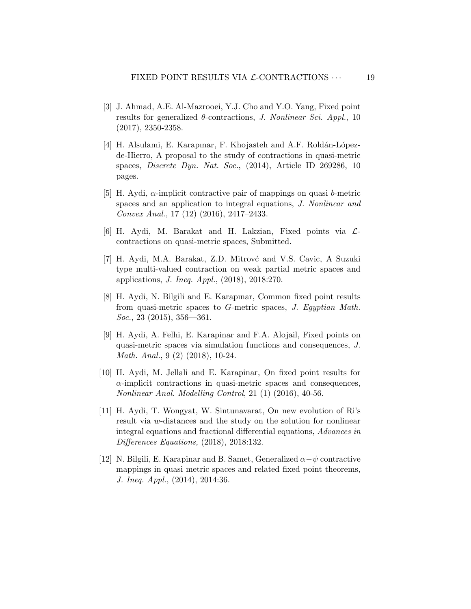- <span id="page-18-2"></span>[3] J. Ahmad, A.E. Al-Mazrooei, Y.J. Cho and Y.O. Yang, Fixed point results for generalized  $\theta$ -contractions, J. Nonlinear Sci. Appl., 10 (2017), 2350-2358.
- <span id="page-18-3"></span>[4] H. Alsulami, E. Karapınar, F. Khojasteh and A.F. Roldán-Lópezde-Hierro, A proposal to the study of contractions in quasi-metric spaces, *Discrete Dyn. Nat. Soc.*,  $(2014)$ , Article ID 269286, 10 pages.
- <span id="page-18-4"></span>[5] H. Aydi,  $\alpha$ -implicit contractive pair of mappings on quasi b-metric spaces and an application to integral equations, J. Nonlinear and Convex Anal., 17 (12) (2016), 2417–2433.
- <span id="page-18-0"></span>[6] H. Aydi, M. Barakat and H. Lakzian, Fixed points via  $\mathcal{L}$ contractions on quasi-metric spaces, Submitted.
- <span id="page-18-8"></span>[7] H. Aydi, M.A. Barakat, Z.D. Mitrové and V.S. Cavic, A Suzuki type multi-valued contraction on weak partial metric spaces and applications, J. Ineq. Appl., (2018), 2018:270.
- <span id="page-18-6"></span>[8] H. Aydi, N. Bilgili and E. Karapınar, Common fixed point results from quasi-metric spaces to G-metric spaces, J. Egyptian Math. Soc., 23 (2015), 356—361.
- <span id="page-18-7"></span>[9] H. Aydi, A. Felhi, E. Karapinar and F.A. Alojail, Fixed points on quasi-metric spaces via simulation functions and consequences, J. Math. Anal., 9 (2) (2018), 10-24.
- <span id="page-18-5"></span>[10] H. Aydi, M. Jellali and E. Karapinar, On fixed point results for  $\alpha$ -implicit contractions in quasi-metric spaces and consequences, Nonlinear Anal. Modelling Control, 21 (1) (2016), 40-56.
- <span id="page-18-1"></span>[11] H. Aydi, T. Wongyat, W. Sintunavarat, On new evolution of Ri's result via w-distances and the study on the solution for nonlinear integral equations and fractional differential equations, Advances in Differences Equations, (2018), 2018:132.
- <span id="page-18-9"></span>[12] N. Bilgili, E. Karapinar and B. Samet, Generalized  $\alpha-\psi$  contractive mappings in quasi metric spaces and related fixed point theorems, J. Ineq. Appl., (2014), 2014:36.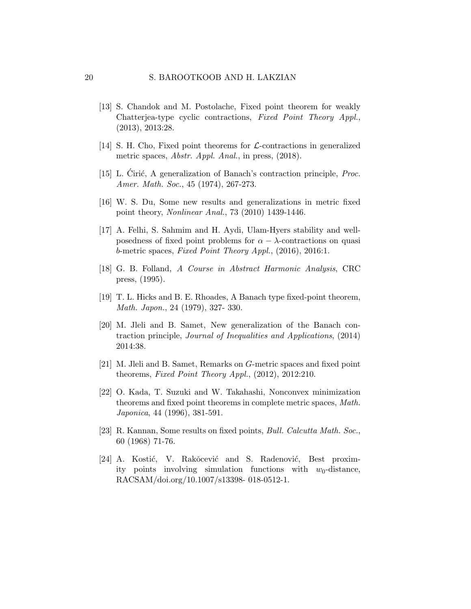- <span id="page-19-8"></span>[13] S. Chandok and M. Postolache, Fixed point theorem for weakly Chatterjea-type cyclic contractions, Fixed Point Theory Appl., (2013), 2013:28.
- <span id="page-19-7"></span>[14] S. H. Cho, Fixed point theorems for  $\mathcal{L}$ -contractions in generalized metric spaces, Abstr. Appl. Anal., in press, (2018).
- <span id="page-19-2"></span>[15] L. Cirić, A generalization of Banach's contraction principle,  $Proc.$ Amer. Math. Soc., 45 (1974), 267-273.
- <span id="page-19-5"></span>[16] W. S. Du, Some new results and generalizations in metric fixed point theory, Nonlinear Anal., 73 (2010) 1439-1446.
- <span id="page-19-9"></span>[17] A. Felhi, S. Sahmim and H. Aydi, Ulam-Hyers stability and wellposedness of fixed point problems for  $\alpha - \lambda$ -contractions on quasi b-metric spaces, Fixed Point Theory Appl.,  $(2016)$ ,  $2016:1$ .
- <span id="page-19-11"></span>[18] G. B. Folland, A Course in Abstract Harmonic Analysis, CRC press, (1995).
- <span id="page-19-4"></span>[19] T. L. Hicks and B. E. Rhoades, A Banach type fixed-point theorem, Math. Japon., 24 (1979), 327- 330.
- <span id="page-19-1"></span>[20] M. Jleli and B. Samet, New generalization of the Banach contraction principle, Journal of Inequalities and Applications, (2014) 2014:38.
- <span id="page-19-10"></span>[21] M. Jleli and B. Samet, Remarks on G-metric spaces and fixed point theorems, Fixed Point Theory Appl., (2012), 2012:210.
- <span id="page-19-0"></span>[22] O. Kada, T. Suzuki and W. Takahashi, Nonconvex minimization theorems and fixed point theorems in complete metric spaces, Math. Japonica, 44 (1996), 381-591.
- <span id="page-19-3"></span>[23] R. Kannan, Some results on fixed points, Bull. Calcutta Math. Soc., 60 (1968) 71-76.
- <span id="page-19-6"></span>[24] A. Kostić, V. Rakŏcević and S. Radenović, Best proximity points involving simulation functions with  $w_0$ -distance, RACSAM/doi.org/10.1007/s13398- 018-0512-1.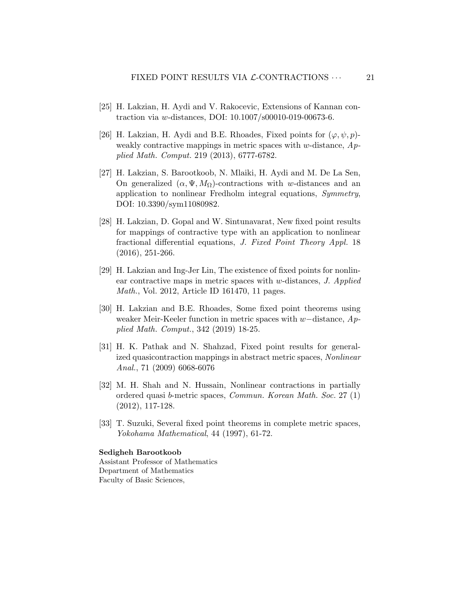- <span id="page-20-6"></span>[25] H. Lakzian, H. Aydi and V. Rakocevic, Extensions of Kannan contraction via w-distances, DOI: 10.1007/s00010-019-00673-6.
- <span id="page-20-1"></span>[26] H. Lakzian, H. Aydi and B.E. Rhoades, Fixed points for  $(\varphi, \psi, p)$ weakly contractive mappings in metric spaces with w-distance,  $Ap$ plied Math. Comput. 219 (2013), 6777-6782.
- <span id="page-20-5"></span>[27] H. Lakzian, S. Barootkoob, N. Mlaiki, H. Aydi and M. De La Sen, On generalized  $(\alpha, \Psi, M_{\Omega})$ -contractions with w-distances and an application to nonlinear Fredholm integral equations, Symmetry, DOI: 10.3390/sym11080982.
- <span id="page-20-3"></span>[28] H. Lakzian, D. Gopal and W. Sintunavarat, New fixed point results for mappings of contractive type with an application to nonlinear fractional differential equations, J. Fixed Point Theory Appl. 18 (2016), 251-266.
- <span id="page-20-4"></span>[29] H. Lakzian and Ing-Jer Lin, The existence of fixed points for nonlinear contractive maps in metric spaces with w-distances, J. Applied Math., Vol. 2012, Article ID 161470, 11 pages.
- <span id="page-20-2"></span>[30] H. Lakzian and B.E. Rhoades, Some fixed point theorems using weaker Meir-Keeler function in metric spaces with w−distance, Applied Math. Comput., 342 (2019) 18-25.
- <span id="page-20-8"></span>[31] H. K. Pathak and N. Shahzad, Fixed point results for generalized quasicontraction mappings in abstract metric spaces, Nonlinear Anal., 71 (2009) 6068-6076
- <span id="page-20-7"></span>[32] M. H. Shah and N. Hussain, Nonlinear contractions in partially ordered quasi b-metric spaces, Commun. Korean Math. Soc. 27 (1) (2012), 117-128.
- <span id="page-20-0"></span>[33] T. Suzuki, Several fixed point theorems in complete metric spaces, Yokohama Mathematical, 44 (1997), 61-72.

#### Sedigheh Barootkoob

Assistant Professor of Mathematics Department of Mathematics Faculty of Basic Sciences,